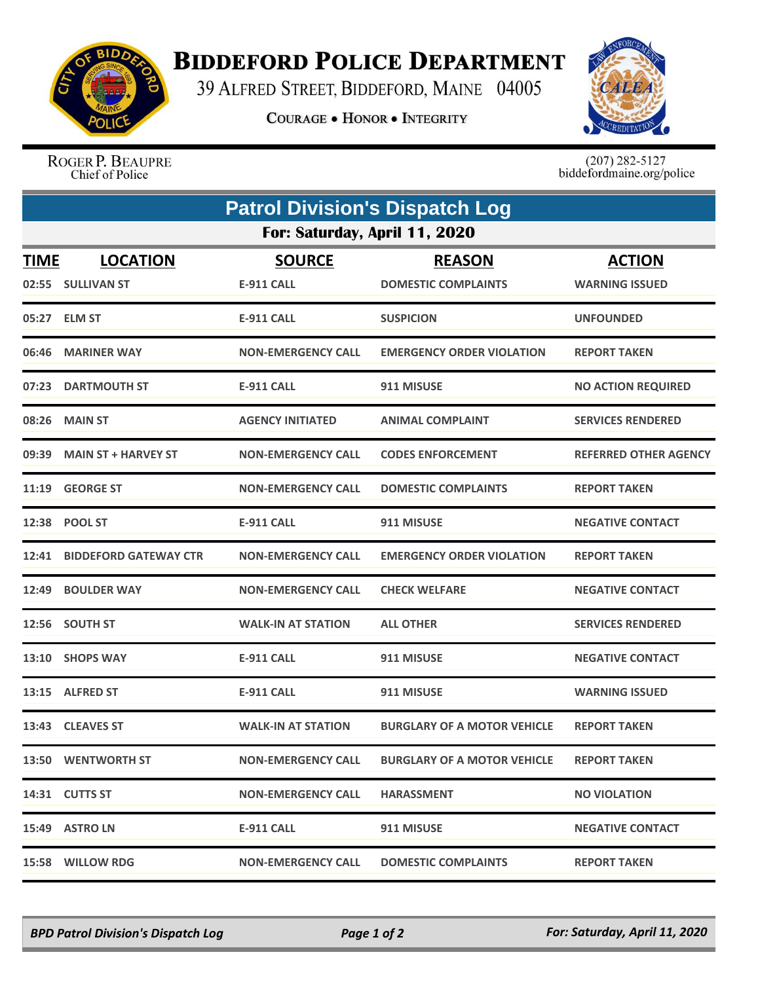

## **BIDDEFORD POLICE DEPARTMENT**

39 ALFRED STREET, BIDDEFORD, MAINE 04005

**COURAGE . HONOR . INTEGRITY** 



ROGER P. BEAUPRE Chief of Police

 $(207)$  282-5127<br>biddefordmaine.org/police

|                               | <b>Patrol Division's Dispatch Log</b> |                                    |                                             |                                        |  |  |  |
|-------------------------------|---------------------------------------|------------------------------------|---------------------------------------------|----------------------------------------|--|--|--|
| For: Saturday, April 11, 2020 |                                       |                                    |                                             |                                        |  |  |  |
| <b>TIME</b>                   | <b>LOCATION</b><br>02:55 SULLIVAN ST  | <b>SOURCE</b><br><b>E-911 CALL</b> | <b>REASON</b><br><b>DOMESTIC COMPLAINTS</b> | <b>ACTION</b><br><b>WARNING ISSUED</b> |  |  |  |
|                               | 05:27 ELM ST                          | <b>E-911 CALL</b>                  | <b>SUSPICION</b>                            | <b>UNFOUNDED</b>                       |  |  |  |
|                               | 06:46 MARINER WAY                     | <b>NON-EMERGENCY CALL</b>          | <b>EMERGENCY ORDER VIOLATION</b>            | <b>REPORT TAKEN</b>                    |  |  |  |
|                               | 07:23 DARTMOUTH ST                    | <b>E-911 CALL</b>                  | 911 MISUSE                                  | <b>NO ACTION REQUIRED</b>              |  |  |  |
| 08:26                         | <b>MAIN ST</b>                        | <b>AGENCY INITIATED</b>            | <b>ANIMAL COMPLAINT</b>                     | <b>SERVICES RENDERED</b>               |  |  |  |
|                               | 09:39 MAIN ST + HARVEY ST             | <b>NON-EMERGENCY CALL</b>          | <b>CODES ENFORCEMENT</b>                    | <b>REFERRED OTHER AGENCY</b>           |  |  |  |
|                               | 11:19 GEORGE ST                       | <b>NON-EMERGENCY CALL</b>          | <b>DOMESTIC COMPLAINTS</b>                  | <b>REPORT TAKEN</b>                    |  |  |  |
| 12:38                         | <b>POOL ST</b>                        | <b>E-911 CALL</b>                  | 911 MISUSE                                  | <b>NEGATIVE CONTACT</b>                |  |  |  |
| 12:41                         | <b>BIDDEFORD GATEWAY CTR</b>          | <b>NON-EMERGENCY CALL</b>          | <b>EMERGENCY ORDER VIOLATION</b>            | <b>REPORT TAKEN</b>                    |  |  |  |
| 12:49                         | <b>BOULDER WAY</b>                    | <b>NON-EMERGENCY CALL</b>          | <b>CHECK WELFARE</b>                        | <b>NEGATIVE CONTACT</b>                |  |  |  |
|                               | 12:56 SOUTH ST                        | <b>WALK-IN AT STATION</b>          | <b>ALL OTHER</b>                            | <b>SERVICES RENDERED</b>               |  |  |  |
|                               | 13:10 SHOPS WAY                       | <b>E-911 CALL</b>                  | 911 MISUSE                                  | <b>NEGATIVE CONTACT</b>                |  |  |  |
|                               | 13:15 ALFRED ST                       | <b>E-911 CALL</b>                  | 911 MISUSE                                  | <b>WARNING ISSUED</b>                  |  |  |  |
|                               | 13:43 CLEAVES ST                      | <b>WALK-IN AT STATION</b>          | <b>BURGLARY OF A MOTOR VEHICLE</b>          | <b>REPORT TAKEN</b>                    |  |  |  |
|                               | 13:50 WENTWORTH ST                    | <b>NON-EMERGENCY CALL</b>          | <b>BURGLARY OF A MOTOR VEHICLE</b>          | <b>REPORT TAKEN</b>                    |  |  |  |
|                               | 14:31 CUTTS ST                        | <b>NON-EMERGENCY CALL</b>          | <b>HARASSMENT</b>                           | <b>NO VIOLATION</b>                    |  |  |  |
|                               | 15:49 ASTRO LN                        | <b>E-911 CALL</b>                  | 911 MISUSE                                  | <b>NEGATIVE CONTACT</b>                |  |  |  |
|                               | 15:58 WILLOW RDG                      | <b>NON-EMERGENCY CALL</b>          | <b>DOMESTIC COMPLAINTS</b>                  | <b>REPORT TAKEN</b>                    |  |  |  |